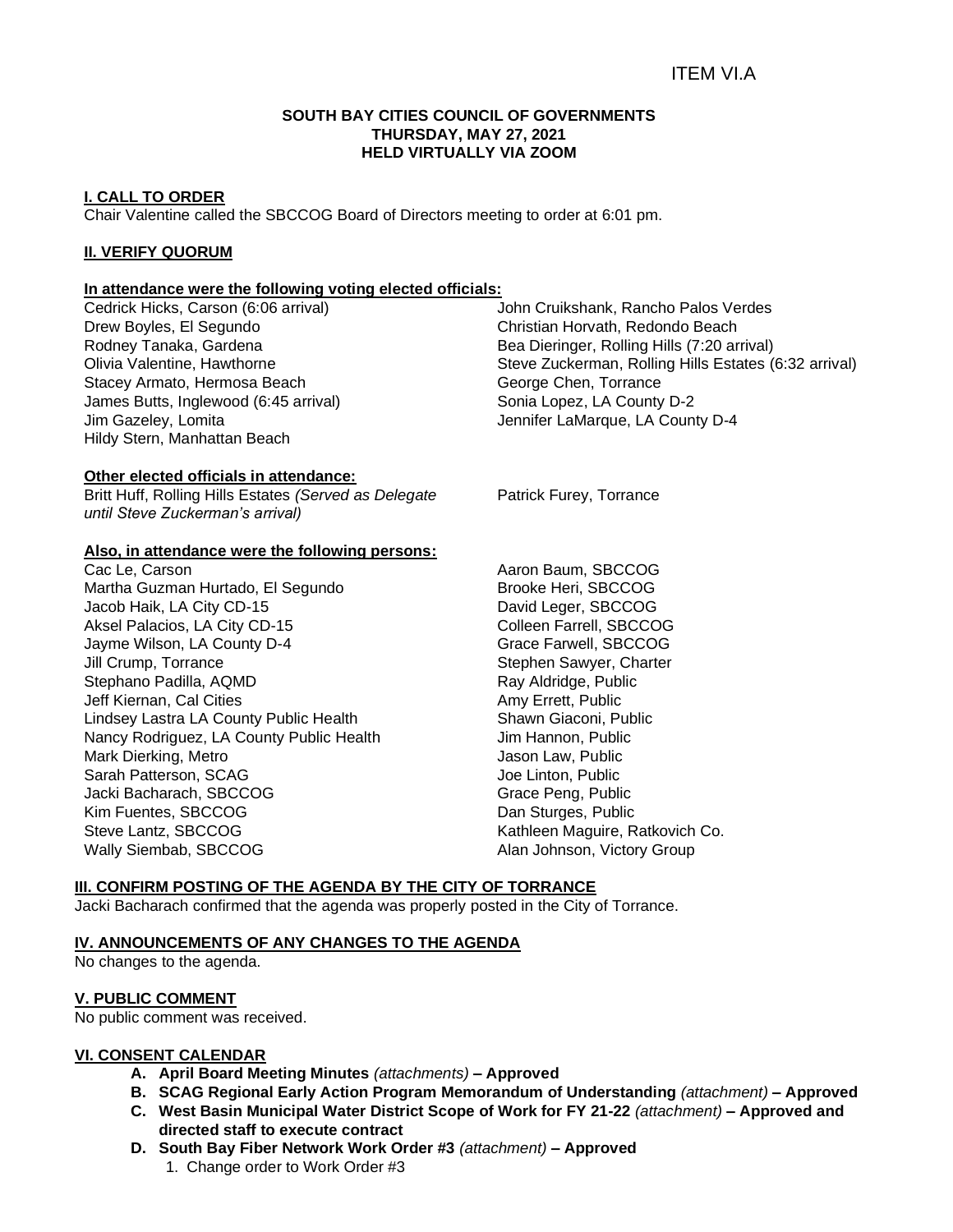#### **SOUTH BAY CITIES COUNCIL OF GOVERNMENTS THURSDAY, MAY 27, 2021 HELD VIRTUALLY VIA ZOOM**

# **I. CALL TO ORDER**

Chair Valentine called the SBCCOG Board of Directors meeting to order at 6:01 pm.

### **II. VERIFY QUORUM**

# **In attendance were the following voting elected officials:**

Cedrick Hicks, Carson (6:06 arrival) Drew Boyles, El Segundo Rodney Tanaka, Gardena Olivia Valentine, Hawthorne Stacey Armato, Hermosa Beach James Butts, Inglewood (6:45 arrival) Jim Gazeley, Lomita Hildy Stern, Manhattan Beach

John Cruikshank, Rancho Palos Verdes Christian Horvath, Redondo Beach Bea Dieringer, Rolling Hills (7:20 arrival) Steve Zuckerman, Rolling Hills Estates (6:32 arrival) George Chen, Torrance Sonia Lopez, LA County D-2 Jennifer LaMarque, LA County D-4

# **Other elected officials in attendance:**

Britt Huff, Rolling Hills Estates *(Served as Delegate until Steve Zuckerman's arrival)*

### **Also, in attendance were the following persons:**

Cac Le, Carson Martha Guzman Hurtado, El Segundo Jacob Haik, LA City CD-15 Aksel Palacios, LA City CD-15 Jayme Wilson, LA County D-4 Jill Crump, Torrance Stephano Padilla, AQMD Jeff Kiernan, Cal Cities Lindsey Lastra LA County Public Health Nancy Rodriguez, LA County Public Health Mark Dierking, Metro Sarah Patterson, SCAG Jacki Bacharach, SBCCOG Kim Fuentes, SBCCOG Steve Lantz, SBCCOG Wally Siembab, SBCCOG

Patrick Furey, Torrance

Aaron Baum, SBCCOG Brooke Heri, SBCCOG David Leger, SBCCOG Colleen Farrell, SBCCOG Grace Farwell, SBCCOG Stephen Sawyer, Charter Ray Aldridge, Public Amy Errett, Public Shawn Giaconi, Public Jim Hannon, Public Jason Law, Public Joe Linton, Public Grace Peng, Public Dan Sturges, Public Kathleen Maguire, Ratkovich Co. Alan Johnson, Victory Group

#### **III. CONFIRM POSTING OF THE AGENDA BY THE CITY OF TORRANCE**

Jacki Bacharach confirmed that the agenda was properly posted in the City of Torrance.

#### **IV. ANNOUNCEMENTS OF ANY CHANGES TO THE AGENDA**

No changes to the agenda.

#### **V. PUBLIC COMMENT**

No public comment was received.

# **VI. CONSENT CALENDAR**

- **A. April Board Meeting Minutes** *(attachments) –* **Approved**
- **B. SCAG Regional Early Action Program Memorandum of Understanding** *(attachment)* **– Approved**
- **C. West Basin Municipal Water District Scope of Work for FY 21-22** *(attachment)* **– Approved and directed staff to execute contract**
- **D. South Bay Fiber Network Work Order #3** *(attachment)* **– Approved**
	- 1. Change order to Work Order #3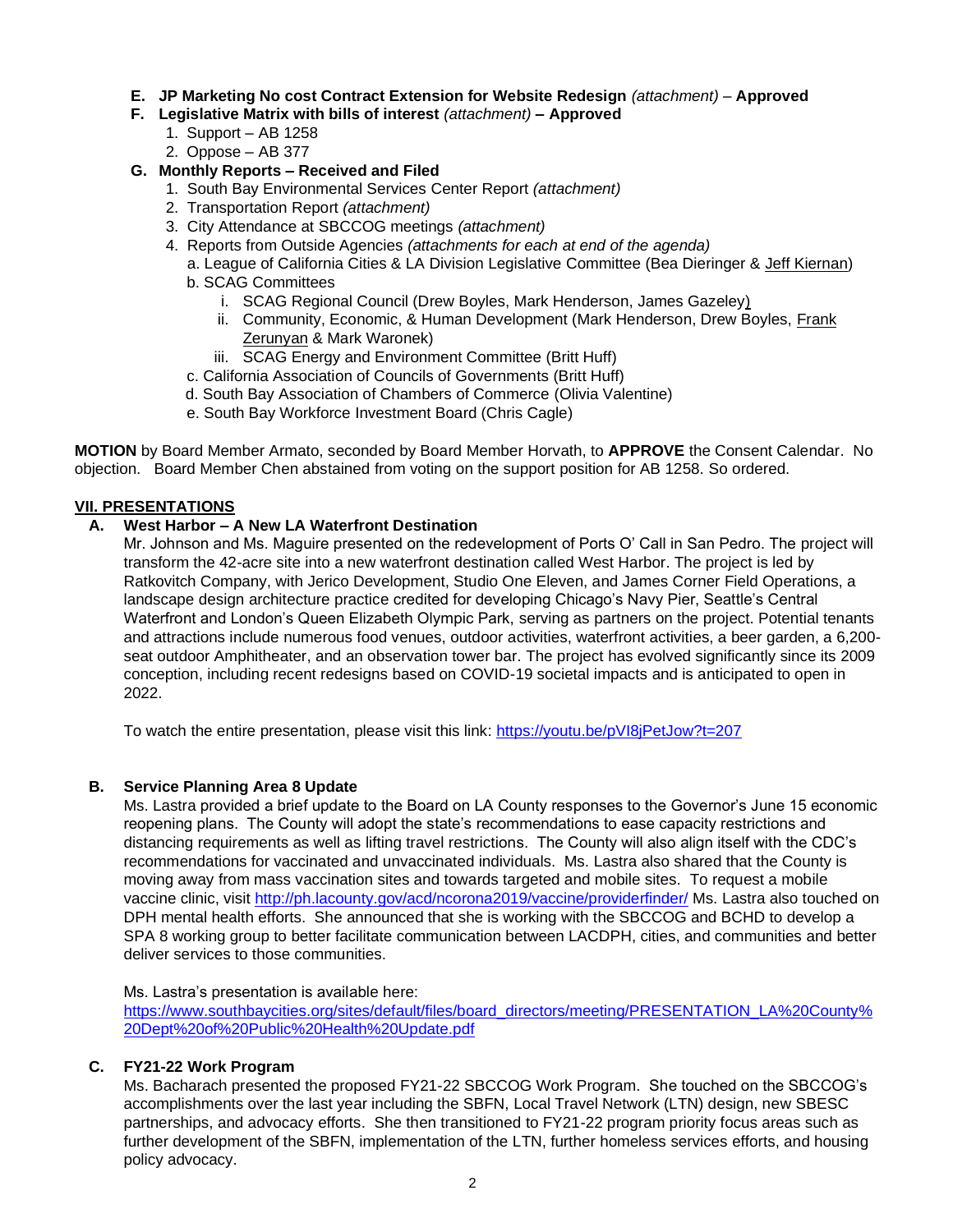- **E. JP Marketing No cost Contract Extension for Website Redesign** *(attachment)* **Approved**
- **F. Legislative Matrix with bills of interest** *(attachment)* **– Approved**
	- 1. Support AB 1258
	- 2. Oppose AB 377

# **G. Monthly Reports – Received and Filed**

- 1. South Bay Environmental Services Center Report *(attachment)*
- 2. Transportation Report *(attachment)*
- 3. City Attendance at SBCCOG meetings *(attachment)*
- 4. Reports from Outside Agencies *(attachments for each at end of the agenda)*
	- a. League of California Cities & LA Division Legislative Committee (Bea Dieringer & Jeff Kiernan) b. SCAG Committees
		- i. SCAG Regional Council (Drew Boyles, Mark Henderson, James Gazeley)
		- ii. Community, Economic, & Human Development (Mark Henderson, Drew Boyles, Frank Zerunyan & Mark Waronek)
		- iii. SCAG Energy and Environment Committee (Britt Huff)
	- c. California Association of Councils of Governments (Britt Huff)
	- d. South Bay Association of Chambers of Commerce (Olivia Valentine)
	- e. South Bay Workforce Investment Board (Chris Cagle)

**MOTION** by Board Member Armato, seconded by Board Member Horvath, to **APPROVE** the Consent Calendar. No objection. Board Member Chen abstained from voting on the support position for AB 1258. So ordered.

# **VII. PRESENTATIONS**

# **A. West Harbor – A New LA Waterfront Destination**

Mr. Johnson and Ms. Maguire presented on the redevelopment of Ports O' Call in San Pedro. The project will transform the 42-acre site into a new waterfront destination called West Harbor. The project is led by Ratkovitch Company, with Jerico Development, Studio One Eleven, and James Corner Field Operations, a landscape design architecture practice credited for developing Chicago's Navy Pier, Seattle's Central Waterfront and London's Queen Elizabeth Olympic Park, serving as partners on the project. Potential tenants and attractions include numerous food venues, outdoor activities, waterfront activities, a beer garden, a 6,200 seat outdoor Amphitheater, and an observation tower bar. The project has evolved significantly since its 2009 conception, including recent redesigns based on COVID-19 societal impacts and is anticipated to open in 2022.

To watch the entire presentation, please visit this link: <https://youtu.be/pVI8jPetJow?t=207>

# **B. Service Planning Area 8 Update**

Ms. Lastra provided a brief update to the Board on LA County responses to the Governor's June 15 economic reopening plans. The County will adopt the state's recommendations to ease capacity restrictions and distancing requirements as well as lifting travel restrictions. The County will also align itself with the CDC's recommendations for vaccinated and unvaccinated individuals. Ms. Lastra also shared that the County is moving away from mass vaccination sites and towards targeted and mobile sites. To request a mobile vaccine clinic, visit<http://ph.lacounty.gov/acd/ncorona2019/vaccine/providerfinder/> Ms. Lastra also touched on DPH mental health efforts. She announced that she is working with the SBCCOG and BCHD to develop a SPA 8 working group to better facilitate communication between LACDPH, cities, and communities and better deliver services to those communities.

Ms. Lastra's presentation is available here:

[https://www.southbaycities.org/sites/default/files/board\\_directors/meeting/PRESENTATION\\_LA%20County%](https://www.southbaycities.org/sites/default/files/board_directors/meeting/PRESENTATION_LA%20County%20Dept%20of%20Public%20Health%20Update.pdf) [20Dept%20of%20Public%20Health%20Update.pdf](https://www.southbaycities.org/sites/default/files/board_directors/meeting/PRESENTATION_LA%20County%20Dept%20of%20Public%20Health%20Update.pdf)

# **C. FY21-22 Work Program**

Ms. Bacharach presented the proposed FY21-22 SBCCOG Work Program. She touched on the SBCCOG's accomplishments over the last year including the SBFN, Local Travel Network (LTN) design, new SBESC partnerships, and advocacy efforts. She then transitioned to FY21-22 program priority focus areas such as further development of the SBFN, implementation of the LTN, further homeless services efforts, and housing policy advocacy.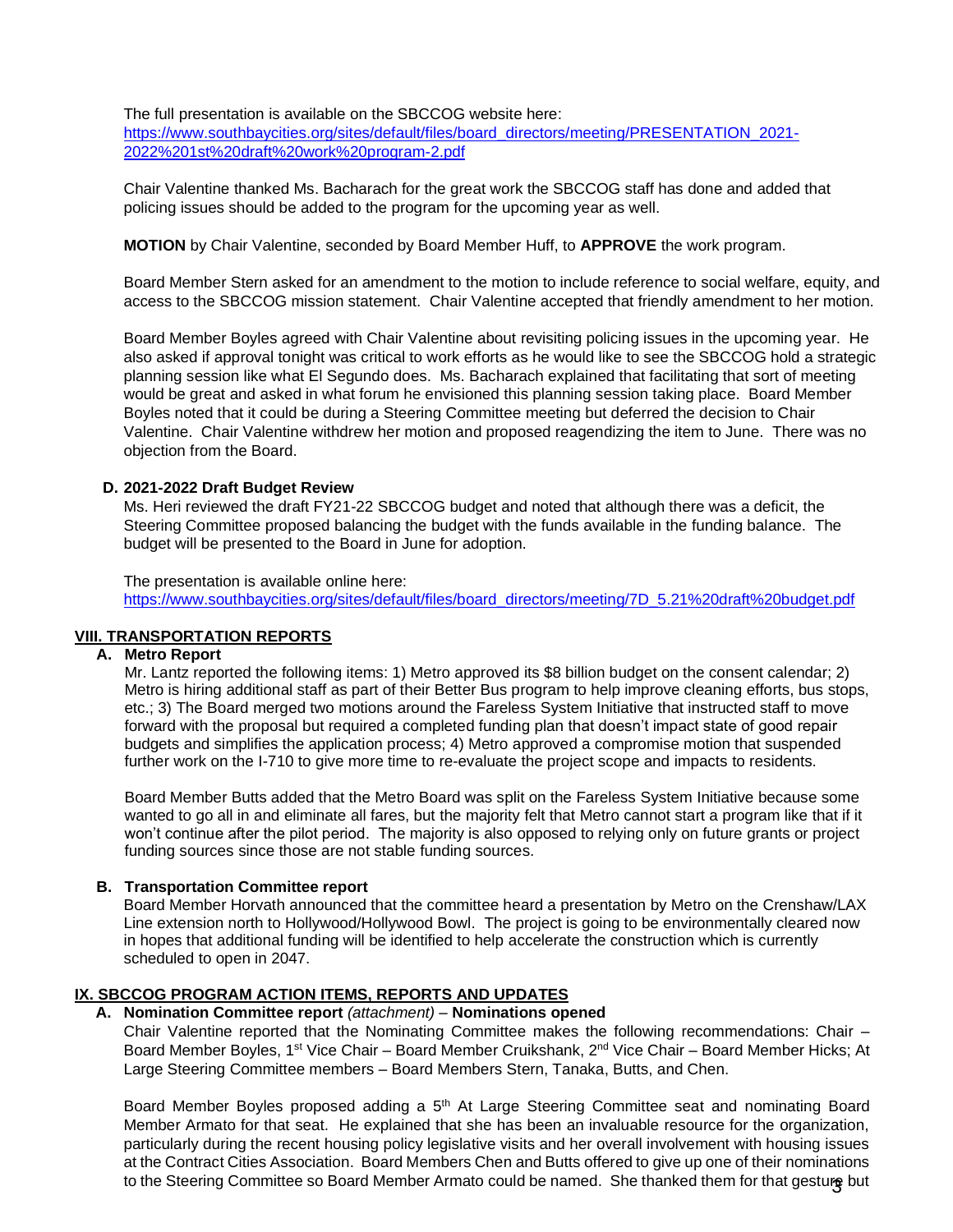The full presentation is available on the SBCCOG website here: [https://www.southbaycities.org/sites/default/files/board\\_directors/meeting/PRESENTATION\\_2021-](https://www.southbaycities.org/sites/default/files/board_directors/meeting/PRESENTATION_2021-2022%201st%20draft%20work%20program-2.pdf) [2022%201st%20draft%20work%20program-2.pdf](https://www.southbaycities.org/sites/default/files/board_directors/meeting/PRESENTATION_2021-2022%201st%20draft%20work%20program-2.pdf)

Chair Valentine thanked Ms. Bacharach for the great work the SBCCOG staff has done and added that policing issues should be added to the program for the upcoming year as well.

**MOTION** by Chair Valentine, seconded by Board Member Huff, to **APPROVE** the work program.

Board Member Stern asked for an amendment to the motion to include reference to social welfare, equity, and access to the SBCCOG mission statement. Chair Valentine accepted that friendly amendment to her motion.

Board Member Boyles agreed with Chair Valentine about revisiting policing issues in the upcoming year. He also asked if approval tonight was critical to work efforts as he would like to see the SBCCOG hold a strategic planning session like what El Segundo does. Ms. Bacharach explained that facilitating that sort of meeting would be great and asked in what forum he envisioned this planning session taking place. Board Member Boyles noted that it could be during a Steering Committee meeting but deferred the decision to Chair Valentine. Chair Valentine withdrew her motion and proposed reagendizing the item to June. There was no objection from the Board.

# **D. 2021-2022 Draft Budget Review**

Ms. Heri reviewed the draft FY21-22 SBCCOG budget and noted that although there was a deficit, the Steering Committee proposed balancing the budget with the funds available in the funding balance. The budget will be presented to the Board in June for adoption.

The presentation is available online here: [https://www.southbaycities.org/sites/default/files/board\\_directors/meeting/7D\\_5.21%20draft%20budget.pdf](https://www.southbaycities.org/sites/default/files/board_directors/meeting/7D_5.21%20draft%20budget.pdf)

# **VIII. TRANSPORTATION REPORTS**

#### **A. Metro Report**

Mr. Lantz reported the following items: 1) Metro approved its \$8 billion budget on the consent calendar; 2) Metro is hiring additional staff as part of their Better Bus program to help improve cleaning efforts, bus stops, etc.; 3) The Board merged two motions around the Fareless System Initiative that instructed staff to move forward with the proposal but required a completed funding plan that doesn't impact state of good repair budgets and simplifies the application process; 4) Metro approved a compromise motion that suspended further work on the I-710 to give more time to re-evaluate the project scope and impacts to residents.

Board Member Butts added that the Metro Board was split on the Fareless System Initiative because some wanted to go all in and eliminate all fares, but the majority felt that Metro cannot start a program like that if it won't continue after the pilot period. The majority is also opposed to relying only on future grants or project funding sources since those are not stable funding sources.

#### **B. Transportation Committee report**

Board Member Horvath announced that the committee heard a presentation by Metro on the Crenshaw/LAX Line extension north to Hollywood/Hollywood Bowl. The project is going to be environmentally cleared now in hopes that additional funding will be identified to help accelerate the construction which is currently scheduled to open in 2047.

#### **IX. SBCCOG PROGRAM ACTION ITEMS, REPORTS AND UPDATES**

# **A. Nomination Committee report** *(attachment)* – **Nominations opened**

Chair Valentine reported that the Nominating Committee makes the following recommendations: Chair – Board Member Boyles, 1<sup>st</sup> Vice Chair – Board Member Cruikshank, 2<sup>nd</sup> Vice Chair – Board Member Hicks; At Large Steering Committee members – Board Members Stern, Tanaka, Butts, and Chen.

to the Steering Committee so Board Member Armato could be named. She thanked them for that gesture but Board Member Boyles proposed adding a 5<sup>th</sup> At Large Steering Committee seat and nominating Board Member Armato for that seat. He explained that she has been an invaluable resource for the organization, particularly during the recent housing policy legislative visits and her overall involvement with housing issues at the Contract Cities Association. Board Members Chen and Butts offered to give up one of their nominations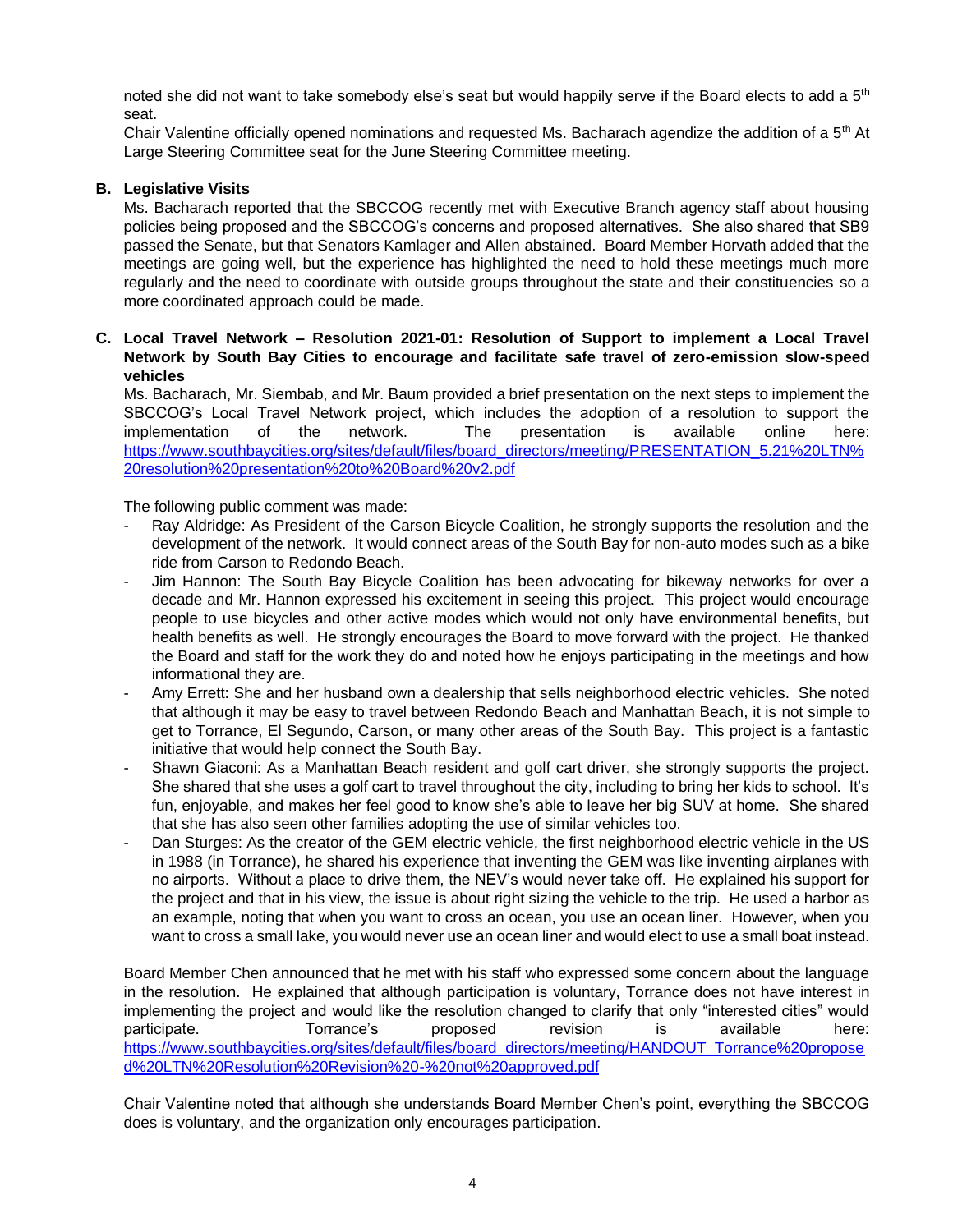noted she did not want to take somebody else's seat but would happily serve if the Board elects to add a 5<sup>th</sup> seat.

Chair Valentine officially opened nominations and requested Ms. Bacharach agendize the addition of a  $5<sup>th</sup>$  At Large Steering Committee seat for the June Steering Committee meeting.

# **B. Legislative Visits**

Ms. Bacharach reported that the SBCCOG recently met with Executive Branch agency staff about housing policies being proposed and the SBCCOG's concerns and proposed alternatives. She also shared that SB9 passed the Senate, but that Senators Kamlager and Allen abstained. Board Member Horvath added that the meetings are going well, but the experience has highlighted the need to hold these meetings much more regularly and the need to coordinate with outside groups throughout the state and their constituencies so a more coordinated approach could be made.

# **C. Local Travel Network – Resolution 2021-01: Resolution of Support to implement a Local Travel Network by South Bay Cities to encourage and facilitate safe travel of zero-emission slow-speed vehicles**

Ms. Bacharach, Mr. Siembab, and Mr. Baum provided a brief presentation on the next steps to implement the SBCCOG's Local Travel Network project, which includes the adoption of a resolution to support the implementation of the network. The presentation is available online here: [https://www.southbaycities.org/sites/default/files/board\\_directors/meeting/PRESENTATION\\_5.21%20LTN%](https://www.southbaycities.org/sites/default/files/board_directors/meeting/PRESENTATION_5.21%20LTN%20resolution%20presentation%20to%20Board%20v2.pdf) [20resolution%20presentation%20to%20Board%20v2.pdf](https://www.southbaycities.org/sites/default/files/board_directors/meeting/PRESENTATION_5.21%20LTN%20resolution%20presentation%20to%20Board%20v2.pdf)

The following public comment was made:

- Ray Aldridge: As President of the Carson Bicycle Coalition, he strongly supports the resolution and the development of the network. It would connect areas of the South Bay for non-auto modes such as a bike ride from Carson to Redondo Beach.
- Jim Hannon: The South Bay Bicycle Coalition has been advocating for bikeway networks for over a decade and Mr. Hannon expressed his excitement in seeing this project. This project would encourage people to use bicycles and other active modes which would not only have environmental benefits, but health benefits as well. He strongly encourages the Board to move forward with the project. He thanked the Board and staff for the work they do and noted how he enjoys participating in the meetings and how informational they are.
- Amy Errett: She and her husband own a dealership that sells neighborhood electric vehicles. She noted that although it may be easy to travel between Redondo Beach and Manhattan Beach, it is not simple to get to Torrance, El Segundo, Carson, or many other areas of the South Bay. This project is a fantastic initiative that would help connect the South Bay.
- Shawn Giaconi: As a Manhattan Beach resident and golf cart driver, she strongly supports the project. She shared that she uses a golf cart to travel throughout the city, including to bring her kids to school. It's fun, enjoyable, and makes her feel good to know she's able to leave her big SUV at home. She shared that she has also seen other families adopting the use of similar vehicles too.
- Dan Sturges: As the creator of the GEM electric vehicle, the first neighborhood electric vehicle in the US in 1988 (in Torrance), he shared his experience that inventing the GEM was like inventing airplanes with no airports. Without a place to drive them, the NEV's would never take off. He explained his support for the project and that in his view, the issue is about right sizing the vehicle to the trip. He used a harbor as an example, noting that when you want to cross an ocean, you use an ocean liner. However, when you want to cross a small lake, you would never use an ocean liner and would elect to use a small boat instead.

Board Member Chen announced that he met with his staff who expressed some concern about the language in the resolution. He explained that although participation is voluntary, Torrance does not have interest in implementing the project and would like the resolution changed to clarify that only "interested cities" would participate. Torrance's proposed revision is available here: [https://www.southbaycities.org/sites/default/files/board\\_directors/meeting/HANDOUT\\_Torrance%20propose](https://www.southbaycities.org/sites/default/files/board_directors/meeting/HANDOUT_Torrance%20proposed%20LTN%20Resolution%20Revision%20-%20not%20approved.pdf) [d%20LTN%20Resolution%20Revision%20-%20not%20approved.pdf](https://www.southbaycities.org/sites/default/files/board_directors/meeting/HANDOUT_Torrance%20proposed%20LTN%20Resolution%20Revision%20-%20not%20approved.pdf)

Chair Valentine noted that although she understands Board Member Chen's point, everything the SBCCOG does is voluntary, and the organization only encourages participation.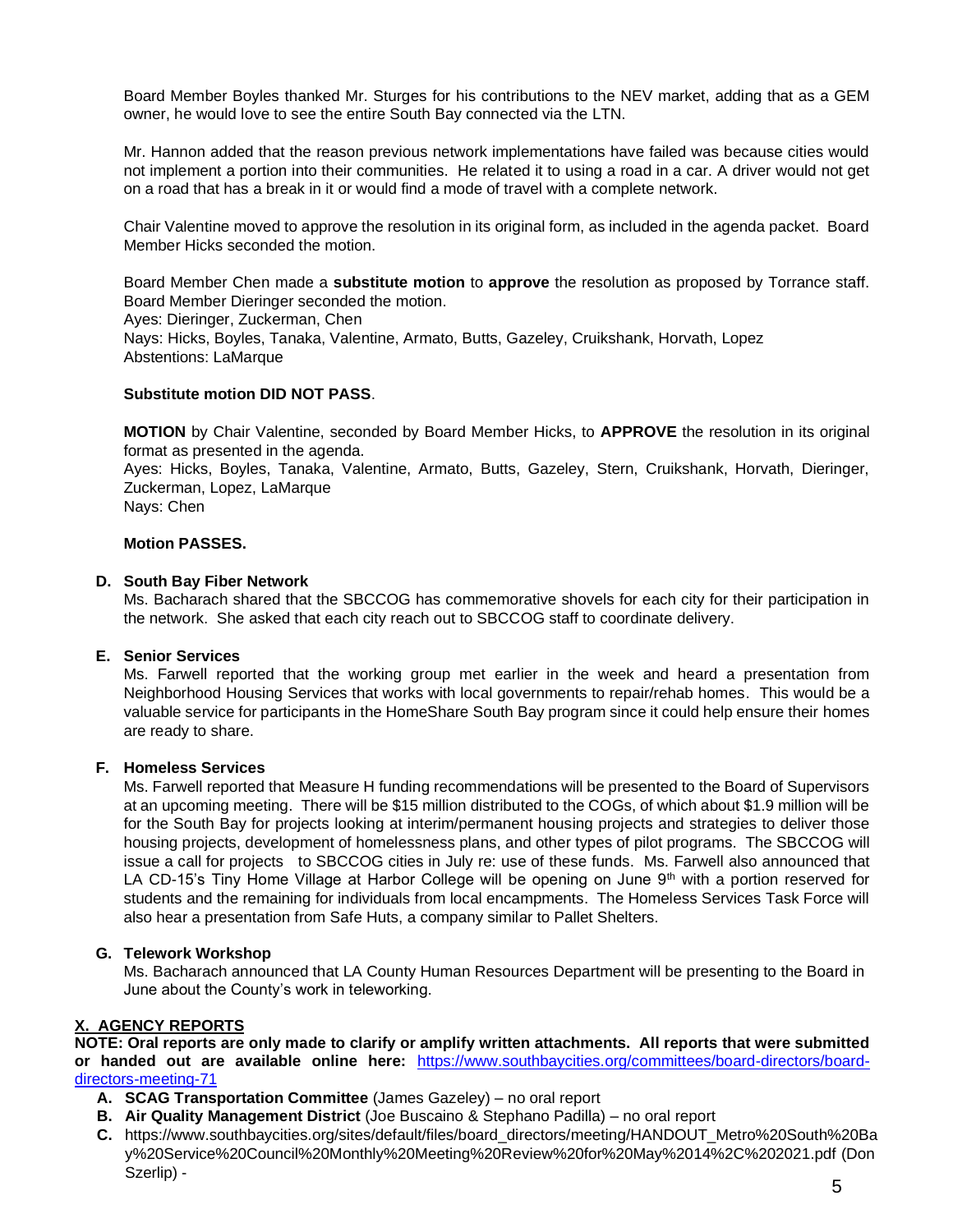Board Member Boyles thanked Mr. Sturges for his contributions to the NEV market, adding that as a GEM owner, he would love to see the entire South Bay connected via the LTN.

Mr. Hannon added that the reason previous network implementations have failed was because cities would not implement a portion into their communities. He related it to using a road in a car. A driver would not get on a road that has a break in it or would find a mode of travel with a complete network.

Chair Valentine moved to approve the resolution in its original form, as included in the agenda packet. Board Member Hicks seconded the motion.

Board Member Chen made a **substitute motion** to **approve** the resolution as proposed by Torrance staff. Board Member Dieringer seconded the motion.

Ayes: Dieringer, Zuckerman, Chen

Nays: Hicks, Boyles, Tanaka, Valentine, Armato, Butts, Gazeley, Cruikshank, Horvath, Lopez Abstentions: LaMarque

# **Substitute motion DID NOT PASS**.

**MOTION** by Chair Valentine, seconded by Board Member Hicks, to **APPROVE** the resolution in its original format as presented in the agenda. Ayes: Hicks, Boyles, Tanaka, Valentine, Armato, Butts, Gazeley, Stern, Cruikshank, Horvath, Dieringer, Zuckerman, Lopez, LaMarque

Nays: Chen

#### **Motion PASSES.**

#### **D. South Bay Fiber Network**

Ms. Bacharach shared that the SBCCOG has commemorative shovels for each city for their participation in the network. She asked that each city reach out to SBCCOG staff to coordinate delivery.

### **E. Senior Services**

Ms. Farwell reported that the working group met earlier in the week and heard a presentation from Neighborhood Housing Services that works with local governments to repair/rehab homes. This would be a valuable service for participants in the HomeShare South Bay program since it could help ensure their homes are ready to share.

#### **F. Homeless Services**

Ms. Farwell reported that Measure H funding recommendations will be presented to the Board of Supervisors at an upcoming meeting. There will be \$15 million distributed to the COGs, of which about \$1.9 million will be for the South Bay for projects looking at interim/permanent housing projects and strategies to deliver those housing projects, development of homelessness plans, and other types of pilot programs. The SBCCOG will issue a call for projects to SBCCOG cities in July re: use of these funds. Ms. Farwell also announced that LA CD-15's Tiny Home Village at Harbor College will be opening on June  $9<sup>th</sup>$  with a portion reserved for students and the remaining for individuals from local encampments. The Homeless Services Task Force will also hear a presentation from Safe Huts, a company similar to Pallet Shelters.

# **G. Telework Workshop**

Ms. Bacharach announced that LA County Human Resources Department will be presenting to the Board in June about the County's work in teleworking.

# **X. AGENCY REPORTS**

**NOTE: Oral reports are only made to clarify or amplify written attachments. All reports that were submitted or handed out are available online here:** [https://www.southbaycities.org/committees/board-directors/board](https://www.southbaycities.org/committees/board-directors/board-directors-meeting-71)[directors-meeting-71](https://www.southbaycities.org/committees/board-directors/board-directors-meeting-71)

- **A. SCAG Transportation Committee** (James Gazeley) no oral report
- **B. Air Quality Management District** (Joe Buscaino & Stephano Padilla) no oral report
- **C.** https://www.southbaycities.org/sites/default/files/board\_directors/meeting/HANDOUT\_Metro%20South%20Ba y%20Service%20Council%20Monthly%20Meeting%20Review%20for%20May%2014%2C%202021.pdf (Don Szerlip) -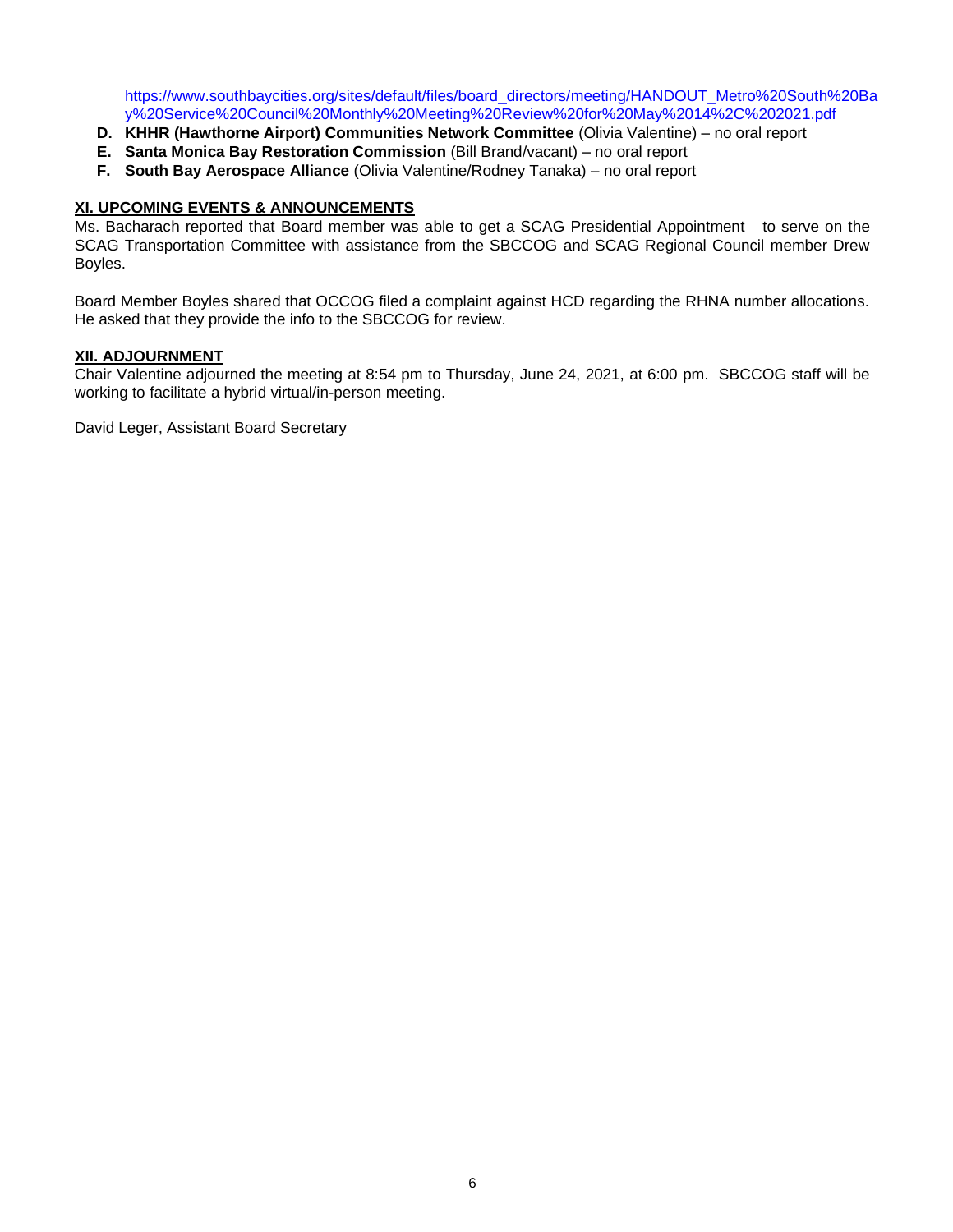[https://www.southbaycities.org/sites/default/files/board\\_directors/meeting/HANDOUT\\_Metro%20South%20Ba](https://www.southbaycities.org/sites/default/files/board_directors/meeting/HANDOUT_Metro%20South%20Bay%20Service%20Council%20Monthly%20Meeting%20Review%20for%20May%2014%2C%202021.pdf) [y%20Service%20Council%20Monthly%20Meeting%20Review%20for%20May%2014%2C%202021.pdf](https://www.southbaycities.org/sites/default/files/board_directors/meeting/HANDOUT_Metro%20South%20Bay%20Service%20Council%20Monthly%20Meeting%20Review%20for%20May%2014%2C%202021.pdf)

- **D. KHHR (Hawthorne Airport) Communities Network Committee** (Olivia Valentine) no oral report
- **E. Santa Monica Bay Restoration Commission** (Bill Brand/vacant) no oral report
- **F. South Bay Aerospace Alliance** (Olivia Valentine/Rodney Tanaka) no oral report

# **XI. UPCOMING EVENTS & ANNOUNCEMENTS**

Ms. Bacharach reported that Board member was able to get a SCAG Presidential Appointment to serve on the SCAG Transportation Committee with assistance from the SBCCOG and SCAG Regional Council member Drew Boyles.

Board Member Boyles shared that OCCOG filed a complaint against HCD regarding the RHNA number allocations. He asked that they provide the info to the SBCCOG for review.

#### **XII. ADJOURNMENT**

Chair Valentine adjourned the meeting at 8:54 pm to Thursday, June 24, 2021, at 6:00 pm. SBCCOG staff will be working to facilitate a hybrid virtual/in-person meeting.

David Leger, Assistant Board Secretary